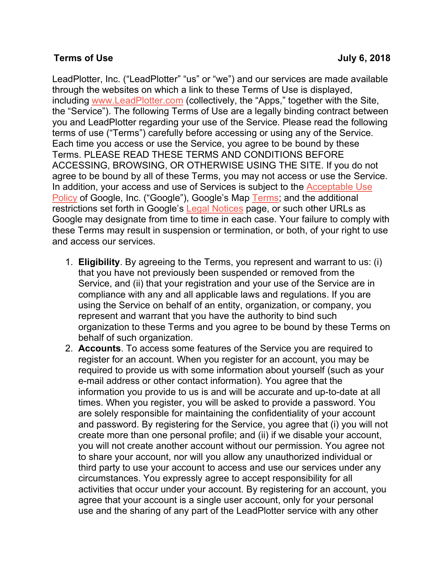## **Terms of Use July 6, 2018**

LeadPlotter, Inc. ("LeadPlotter" "us" or "we") and our services are made available through the websites on which a link to these Terms of Use is displayed, including www.LeadPlotter.com (collectively, the "Apps," together with the Site, the "Service"). The following Terms of Use are a legally binding contract between you and LeadPlotter regarding your use of the Service. Please read the following terms of use ("Terms") carefully before accessing or using any of the Service. Each time you access or use the Service, you agree to be bound by these Terms. PLEASE READ THESE TERMS AND CONDITIONS BEFORE ACCESSING, BROWSING, OR OTHERWISE USING THE SITE. If you do not agree to be bound by all of these Terms, you may not access or use the Service. In addition, your access and use of Services is subject to the Acceptable Use Policy of Google, Inc. ("Google"), Google's Map Terms; and the additional restrictions set forth in Google's Legal Notices page, or such other URLs as Google may designate from time to time in each case. Your failure to comply with these Terms may result in suspension or termination, or both, of your right to use and access our services.

- 1. **Eligibility**. By agreeing to the Terms, you represent and warrant to us: (i) that you have not previously been suspended or removed from the Service, and (ii) that your registration and your use of the Service are in compliance with any and all applicable laws and regulations. If you are using the Service on behalf of an entity, organization, or company, you represent and warrant that you have the authority to bind such organization to these Terms and you agree to be bound by these Terms on behalf of such organization.
- 2. **Accounts**. To access some features of the Service you are required to register for an account. When you register for an account, you may be required to provide us with some information about yourself (such as your e-mail address or other contact information). You agree that the information you provide to us is and will be accurate and up-to-date at all times. When you register, you will be asked to provide a password. You are solely responsible for maintaining the confidentiality of your account and password. By registering for the Service, you agree that (i) you will not create more than one personal profile; and (ii) if we disable your account, you will not create another account without our permission. You agree not to share your account, nor will you allow any unauthorized individual or third party to use your account to access and use our services under any circumstances. You expressly agree to accept responsibility for all activities that occur under your account. By registering for an account, you agree that your account is a single user account, only for your personal use and the sharing of any part of the LeadPlotter service with any other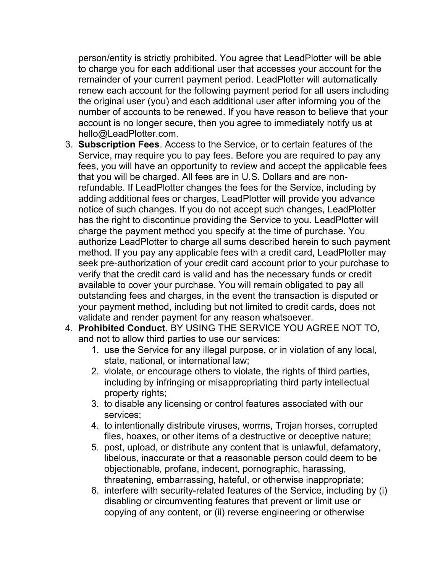person/entity is strictly prohibited. You agree that LeadPlotter will be able to charge you for each additional user that accesses your account for the remainder of your current payment period. LeadPlotter will automatically renew each account for the following payment period for all users including the original user (you) and each additional user after informing you of the number of accounts to be renewed. If you have reason to believe that your account is no longer secure, then you agree to immediately notify us at hello@LeadPlotter.com.

- 3. **Subscription Fees**. Access to the Service, or to certain features of the Service, may require you to pay fees. Before you are required to pay any fees, you will have an opportunity to review and accept the applicable fees that you will be charged. All fees are in U.S. Dollars and are nonrefundable. If LeadPlotter changes the fees for the Service, including by adding additional fees or charges, LeadPlotter will provide you advance notice of such changes. If you do not accept such changes, LeadPlotter has the right to discontinue providing the Service to you. LeadPlotter will charge the payment method you specify at the time of purchase. You authorize LeadPlotter to charge all sums described herein to such payment method. If you pay any applicable fees with a credit card, LeadPlotter may seek pre-authorization of your credit card account prior to your purchase to verify that the credit card is valid and has the necessary funds or credit available to cover your purchase. You will remain obligated to pay all outstanding fees and charges, in the event the transaction is disputed or your payment method, including but not limited to credit cards, does not validate and render payment for any reason whatsoever.
- 4. **Prohibited Conduct**. BY USING THE SERVICE YOU AGREE NOT TO, and not to allow third parties to use our services:
	- 1. use the Service for any illegal purpose, or in violation of any local, state, national, or international law;
	- 2. violate, or encourage others to violate, the rights of third parties, including by infringing or misappropriating third party intellectual property rights;
	- 3. to disable any licensing or control features associated with our services;
	- 4. to intentionally distribute viruses, worms, Trojan horses, corrupted files, hoaxes, or other items of a destructive or deceptive nature;
	- 5. post, upload, or distribute any content that is unlawful, defamatory, libelous, inaccurate or that a reasonable person could deem to be objectionable, profane, indecent, pornographic, harassing, threatening, embarrassing, hateful, or otherwise inappropriate;
	- 6. interfere with security-related features of the Service, including by (i) disabling or circumventing features that prevent or limit use or copying of any content, or (ii) reverse engineering or otherwise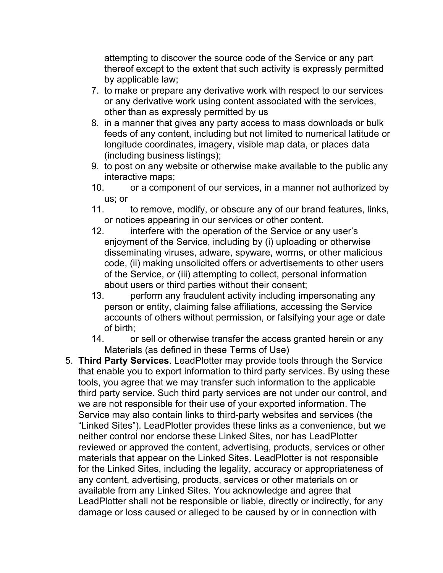attempting to discover the source code of the Service or any part thereof except to the extent that such activity is expressly permitted by applicable law;

- 7. to make or prepare any derivative work with respect to our services or any derivative work using content associated with the services, other than as expressly permitted by us
- 8. in a manner that gives any party access to mass downloads or bulk feeds of any content, including but not limited to numerical latitude or longitude coordinates, imagery, visible map data, or places data (including business listings);
- 9. to post on any website or otherwise make available to the public any interactive maps;
- 10. or a component of our services, in a manner not authorized by us; or
- 11. to remove, modify, or obscure any of our brand features, links, or notices appearing in our services or other content.
- 12. interfere with the operation of the Service or any user's enjoyment of the Service, including by (i) uploading or otherwise disseminating viruses, adware, spyware, worms, or other malicious code, (ii) making unsolicited offers or advertisements to other users of the Service, or (iii) attempting to collect, personal information about users or third parties without their consent;
- 13. perform any fraudulent activity including impersonating any person or entity, claiming false affiliations, accessing the Service accounts of others without permission, or falsifying your age or date of birth;
- 14. or sell or otherwise transfer the access granted herein or any Materials (as defined in these Terms of Use)
- 5. **Third Party Services**. LeadPlotter may provide tools through the Service that enable you to export information to third party services. By using these tools, you agree that we may transfer such information to the applicable third party service. Such third party services are not under our control, and we are not responsible for their use of your exported information. The Service may also contain links to third-party websites and services (the "Linked Sites"). LeadPlotter provides these links as a convenience, but we neither control nor endorse these Linked Sites, nor has LeadPlotter reviewed or approved the content, advertising, products, services or other materials that appear on the Linked Sites. LeadPlotter is not responsible for the Linked Sites, including the legality, accuracy or appropriateness of any content, advertising, products, services or other materials on or available from any Linked Sites. You acknowledge and agree that LeadPlotter shall not be responsible or liable, directly or indirectly, for any damage or loss caused or alleged to be caused by or in connection with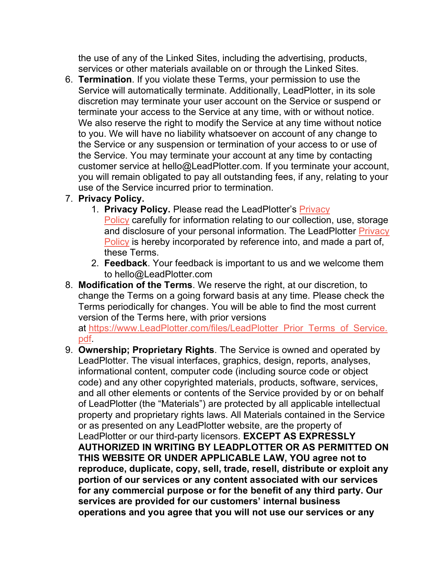the use of any of the Linked Sites, including the advertising, products, services or other materials available on or through the Linked Sites.

6. **Termination**. If you violate these Terms, your permission to use the Service will automatically terminate. Additionally, LeadPlotter, in its sole discretion may terminate your user account on the Service or suspend or terminate your access to the Service at any time, with or without notice. We also reserve the right to modify the Service at any time without notice to you. We will have no liability whatsoever on account of any change to the Service or any suspension or termination of your access to or use of the Service. You may terminate your account at any time by contacting customer service at hello@LeadPlotter.com. If you terminate your account, you will remain obligated to pay all outstanding fees, if any, relating to your use of the Service incurred prior to termination.

## 7. **Privacy Policy.**

- 1. **Privacy Policy.** Please read the LeadPlotter's Privacy Policy carefully for information relating to our collection, use, storage and disclosure of your personal information. The LeadPlotter Privacy Policy is hereby incorporated by reference into, and made a part of, these Terms.
- 2. **Feedback**. Your feedback is important to us and we welcome them to hello@LeadPlotter.com
- 8. **Modification of the Terms**. We reserve the right, at our discretion, to change the Terms on a going forward basis at any time. Please check the Terms periodically for changes. You will be able to find the most current version of the Terms here, with prior versions

at https://www.LeadPlotter.com/files/LeadPlotter\_Prior\_Terms\_of\_Service. pdf.

9. **Ownership; Proprietary Rights**. The Service is owned and operated by LeadPlotter. The visual interfaces, graphics, design, reports, analyses, informational content, computer code (including source code or object code) and any other copyrighted materials, products, software, services, and all other elements or contents of the Service provided by or on behalf of LeadPlotter (the "Materials") are protected by all applicable intellectual property and proprietary rights laws. All Materials contained in the Service or as presented on any LeadPlotter website, are the property of LeadPlotter or our third-party licensors. **EXCEPT AS EXPRESSLY AUTHORIZED IN WRITING BY LEADPLOTTER OR AS PERMITTED ON THIS WEBSITE OR UNDER APPLICABLE LAW, YOU agree not to reproduce, duplicate, copy, sell, trade, resell, distribute or exploit any portion of our services or any content associated with our services for any commercial purpose or for the benefit of any third party. Our services are provided for our customers' internal business operations and you agree that you will not use our services or any**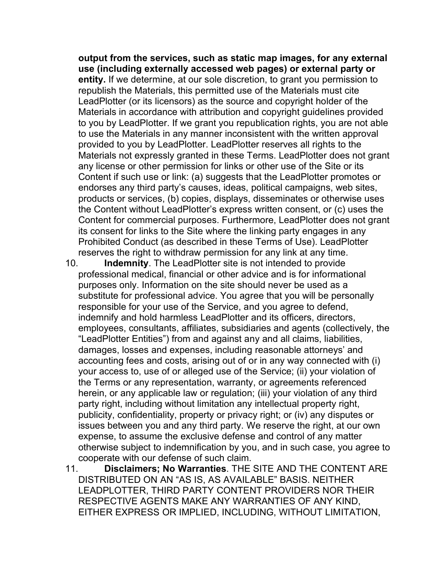**output from the services, such as static map images, for any external use (including externally accessed web pages) or external party or entity.** If we determine, at our sole discretion, to grant you permission to republish the Materials, this permitted use of the Materials must cite LeadPlotter (or its licensors) as the source and copyright holder of the Materials in accordance with attribution and copyright guidelines provided to you by LeadPlotter. If we grant you republication rights, you are not able to use the Materials in any manner inconsistent with the written approval provided to you by LeadPlotter. LeadPlotter reserves all rights to the Materials not expressly granted in these Terms. LeadPlotter does not grant any license or other permission for links or other use of the Site or its Content if such use or link: (a) suggests that the LeadPlotter promotes or endorses any third party's causes, ideas, political campaigns, web sites, products or services, (b) copies, displays, disseminates or otherwise uses the Content without LeadPlotter's express written consent, or (c) uses the Content for commercial purposes. Furthermore, LeadPlotter does not grant its consent for links to the Site where the linking party engages in any Prohibited Conduct (as described in these Terms of Use). LeadPlotter reserves the right to withdraw permission for any link at any time.

10. **Indemnity**. The LeadPlotter site is not intended to provide professional medical, financial or other advice and is for informational purposes only. Information on the site should never be used as a substitute for professional advice. You agree that you will be personally responsible for your use of the Service, and you agree to defend, indemnify and hold harmless LeadPlotter and its officers, directors, employees, consultants, affiliates, subsidiaries and agents (collectively, the "LeadPlotter Entities") from and against any and all claims, liabilities, damages, losses and expenses, including reasonable attorneys' and accounting fees and costs, arising out of or in any way connected with (i) your access to, use of or alleged use of the Service; (ii) your violation of the Terms or any representation, warranty, or agreements referenced herein, or any applicable law or regulation; (iii) your violation of any third party right, including without limitation any intellectual property right, publicity, confidentiality, property or privacy right; or (iv) any disputes or issues between you and any third party. We reserve the right, at our own expense, to assume the exclusive defense and control of any matter otherwise subject to indemnification by you, and in such case, you agree to cooperate with our defense of such claim.

11. **Disclaimers; No Warranties**. THE SITE AND THE CONTENT ARE DISTRIBUTED ON AN "AS IS, AS AVAILABLE" BASIS. NEITHER LEADPLOTTER, THIRD PARTY CONTENT PROVIDERS NOR THEIR RESPECTIVE AGENTS MAKE ANY WARRANTIES OF ANY KIND, EITHER EXPRESS OR IMPLIED, INCLUDING, WITHOUT LIMITATION,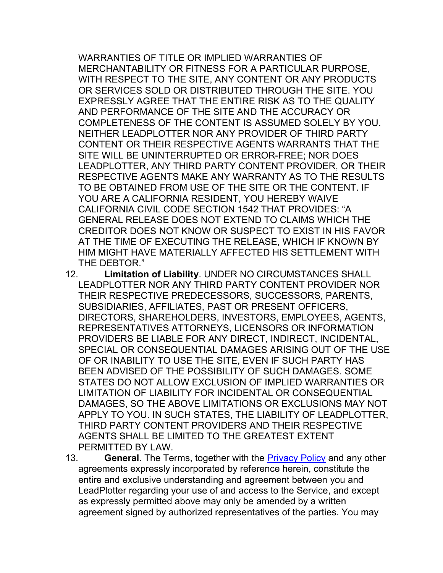WARRANTIES OF TITLE OR IMPLIED WARRANTIES OF MERCHANTABILITY OR FITNESS FOR A PARTICULAR PURPOSE, WITH RESPECT TO THE SITE, ANY CONTENT OR ANY PRODUCTS OR SERVICES SOLD OR DISTRIBUTED THROUGH THE SITE. YOU EXPRESSLY AGREE THAT THE ENTIRE RISK AS TO THE QUALITY AND PERFORMANCE OF THE SITE AND THE ACCURACY OR COMPLETENESS OF THE CONTENT IS ASSUMED SOLELY BY YOU. NEITHER LEADPLOTTER NOR ANY PROVIDER OF THIRD PARTY CONTENT OR THEIR RESPECTIVE AGENTS WARRANTS THAT THE SITE WILL BE UNINTERRUPTED OR ERROR-FREE; NOR DOES LEADPLOTTER, ANY THIRD PARTY CONTENT PROVIDER, OR THEIR RESPECTIVE AGENTS MAKE ANY WARRANTY AS TO THE RESULTS TO BE OBTAINED FROM USE OF THE SITE OR THE CONTENT. IF YOU ARE A CALIFORNIA RESIDENT, YOU HEREBY WAIVE CALIFORNIA CIVIL CODE SECTION 1542 THAT PROVIDES: "A GENERAL RELEASE DOES NOT EXTEND TO CLAIMS WHICH THE CREDITOR DOES NOT KNOW OR SUSPECT TO EXIST IN HIS FAVOR AT THE TIME OF EXECUTING THE RELEASE, WHICH IF KNOWN BY HIM MIGHT HAVE MATERIALLY AFFECTED HIS SETTLEMENT WITH THE DEBTOR."

- 12. **Limitation of Liability**. UNDER NO CIRCUMSTANCES SHALL LEADPLOTTER NOR ANY THIRD PARTY CONTENT PROVIDER NOR THEIR RESPECTIVE PREDECESSORS, SUCCESSORS, PARENTS, SUBSIDIARIES, AFFILIATES, PAST OR PRESENT OFFICERS, DIRECTORS, SHAREHOLDERS, INVESTORS, EMPLOYEES, AGENTS, REPRESENTATIVES ATTORNEYS, LICENSORS OR INFORMATION PROVIDERS BE LIABLE FOR ANY DIRECT, INDIRECT, INCIDENTAL, SPECIAL OR CONSEQUENTIAL DAMAGES ARISING OUT OF THE USE OF OR INABILITY TO USE THE SITE, EVEN IF SUCH PARTY HAS BEEN ADVISED OF THE POSSIBILITY OF SUCH DAMAGES. SOME STATES DO NOT ALLOW EXCLUSION OF IMPLIED WARRANTIES OR LIMITATION OF LIABILITY FOR INCIDENTAL OR CONSEQUENTIAL DAMAGES, SO THE ABOVE LIMITATIONS OR EXCLUSIONS MAY NOT APPLY TO YOU. IN SUCH STATES, THE LIABILITY OF LEADPLOTTER, THIRD PARTY CONTENT PROVIDERS AND THEIR RESPECTIVE AGENTS SHALL BE LIMITED TO THE GREATEST EXTENT PERMITTED BY LAW.
- 13. **General**. The Terms, together with the Privacy Policy and any other agreements expressly incorporated by reference herein, constitute the entire and exclusive understanding and agreement between you and LeadPlotter regarding your use of and access to the Service, and except as expressly permitted above may only be amended by a written agreement signed by authorized representatives of the parties. You may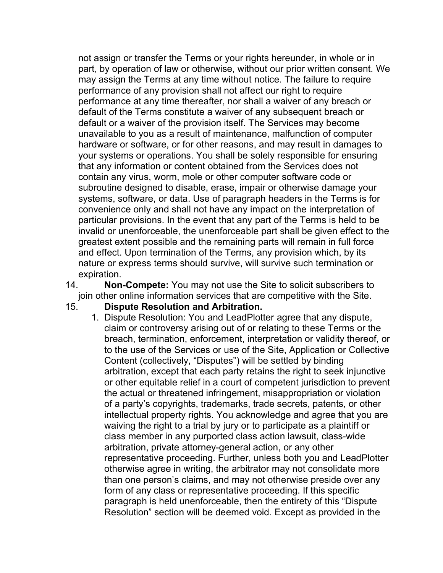not assign or transfer the Terms or your rights hereunder, in whole or in part, by operation of law or otherwise, without our prior written consent. We may assign the Terms at any time without notice. The failure to require performance of any provision shall not affect our right to require performance at any time thereafter, nor shall a waiver of any breach or default of the Terms constitute a waiver of any subsequent breach or default or a waiver of the provision itself. The Services may become unavailable to you as a result of maintenance, malfunction of computer hardware or software, or for other reasons, and may result in damages to your systems or operations. You shall be solely responsible for ensuring that any information or content obtained from the Services does not contain any virus, worm, mole or other computer software code or subroutine designed to disable, erase, impair or otherwise damage your systems, software, or data. Use of paragraph headers in the Terms is for convenience only and shall not have any impact on the interpretation of particular provisions. In the event that any part of the Terms is held to be invalid or unenforceable, the unenforceable part shall be given effect to the greatest extent possible and the remaining parts will remain in full force and effect. Upon termination of the Terms, any provision which, by its nature or express terms should survive, will survive such termination or expiration.

- 14. **Non-Compete:** You may not use the Site to solicit subscribers to join other online information services that are competitive with the Site.
- 15. **Dispute Resolution and Arbitration.**
	- 1. Dispute Resolution: You and LeadPlotter agree that any dispute, claim or controversy arising out of or relating to these Terms or the breach, termination, enforcement, interpretation or validity thereof, or to the use of the Services or use of the Site, Application or Collective Content (collectively, "Disputes") will be settled by binding arbitration, except that each party retains the right to seek injunctive or other equitable relief in a court of competent jurisdiction to prevent the actual or threatened infringement, misappropriation or violation of a party's copyrights, trademarks, trade secrets, patents, or other intellectual property rights. You acknowledge and agree that you are waiving the right to a trial by jury or to participate as a plaintiff or class member in any purported class action lawsuit, class-wide arbitration, private attorney-general action, or any other representative proceeding. Further, unless both you and LeadPlotter otherwise agree in writing, the arbitrator may not consolidate more than one person's claims, and may not otherwise preside over any form of any class or representative proceeding. If this specific paragraph is held unenforceable, then the entirety of this "Dispute Resolution" section will be deemed void. Except as provided in the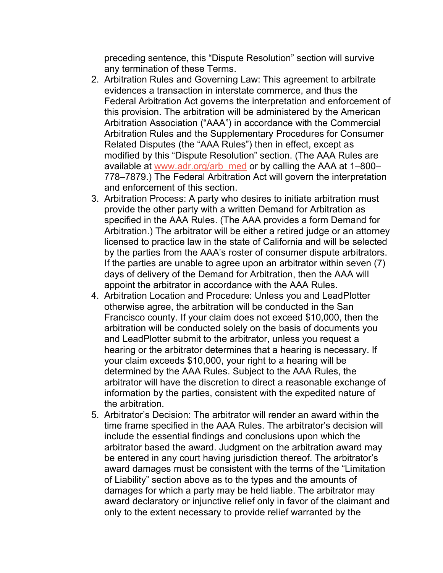preceding sentence, this "Dispute Resolution" section will survive any termination of these Terms.

- 2. Arbitration Rules and Governing Law: This agreement to arbitrate evidences a transaction in interstate commerce, and thus the Federal Arbitration Act governs the interpretation and enforcement of this provision. The arbitration will be administered by the American Arbitration Association ("AAA") in accordance with the Commercial Arbitration Rules and the Supplementary Procedures for Consumer Related Disputes (the "AAA Rules") then in effect, except as modified by this "Dispute Resolution" section. (The AAA Rules are available at www.adr.org/arb\_med or by calling the AAA at 1–800– 778–7879.) The Federal Arbitration Act will govern the interpretation and enforcement of this section.
- 3. Arbitration Process: A party who desires to initiate arbitration must provide the other party with a written Demand for Arbitration as specified in the AAA Rules. (The AAA provides a form Demand for Arbitration.) The arbitrator will be either a retired judge or an attorney licensed to practice law in the state of California and will be selected by the parties from the AAA's roster of consumer dispute arbitrators. If the parties are unable to agree upon an arbitrator within seven (7) days of delivery of the Demand for Arbitration, then the AAA will appoint the arbitrator in accordance with the AAA Rules.
- 4. Arbitration Location and Procedure: Unless you and LeadPlotter otherwise agree, the arbitration will be conducted in the San Francisco county. If your claim does not exceed \$10,000, then the arbitration will be conducted solely on the basis of documents you and LeadPlotter submit to the arbitrator, unless you request a hearing or the arbitrator determines that a hearing is necessary. If your claim exceeds \$10,000, your right to a hearing will be determined by the AAA Rules. Subject to the AAA Rules, the arbitrator will have the discretion to direct a reasonable exchange of information by the parties, consistent with the expedited nature of the arbitration.
- 5. Arbitrator's Decision: The arbitrator will render an award within the time frame specified in the AAA Rules. The arbitrator's decision will include the essential findings and conclusions upon which the arbitrator based the award. Judgment on the arbitration award may be entered in any court having jurisdiction thereof. The arbitrator's award damages must be consistent with the terms of the "Limitation of Liability" section above as to the types and the amounts of damages for which a party may be held liable. The arbitrator may award declaratory or injunctive relief only in favor of the claimant and only to the extent necessary to provide relief warranted by the